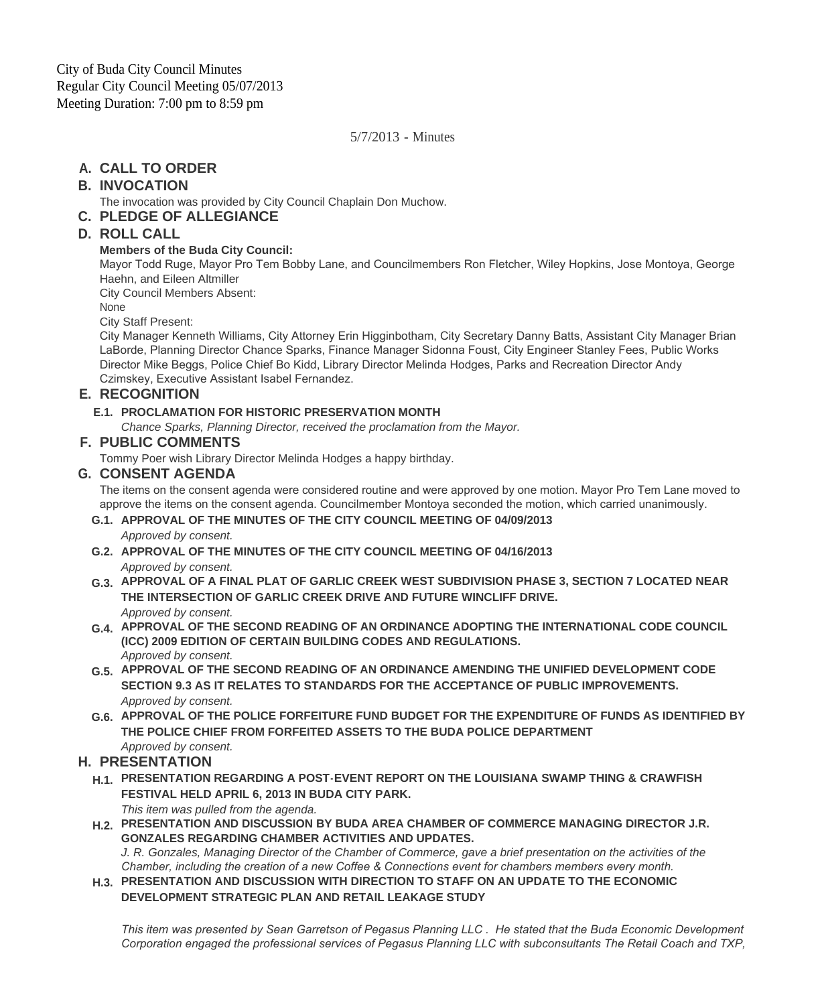5/7/2013 - Minutes

# **CALL TO ORDER A.**

# **INVOCATION B.**

The invocation was provided by City Council Chaplain Don Muchow.

## **PLEDGE OF ALLEGIANCE C.**

# **ROLL CALL D.**

### **Members of the Buda City Council:**

Mayor Todd Ruge, Mayor Pro Tem Bobby Lane, and Councilmembers Ron Fletcher, Wiley Hopkins, Jose Montoya, George Haehn, and Eileen Altmiller

City Council Members Absent:

None

City Staff Present:

City Manager Kenneth Williams, City Attorney Erin Higginbotham, City Secretary Danny Batts, Assistant City Manager Brian LaBorde, Planning Director Chance Sparks, Finance Manager Sidonna Foust, City Engineer Stanley Fees, Public Works Director Mike Beggs, Police Chief Bo Kidd, Library Director Melinda Hodges, Parks and Recreation Director Andy Czimskey, Executive Assistant Isabel Fernandez.

## **RECOGNITION E.**

### **PROCLAMATION FOR HISTORIC PRESERVATION MONTH E.1.**

*Chance Sparks, Planning Director, received the proclamation from the Mayor.*

## **PUBLIC COMMENTS F.**

Tommy Poer wish Library Director Melinda Hodges a happy birthday.

### **CONSENT AGENDA G.**

The items on the consent agenda were considered routine and were approved by one motion. Mayor Pro Tem Lane moved to approve the items on the consent agenda. Councilmember Montoya seconded the motion, which carried unanimously.

- **APPROVAL OF THE MINUTES OF THE CITY COUNCIL MEETING OF 04/09/2013 G.1.** *Approved by consent.*
- **APPROVAL OF THE MINUTES OF THE CITY COUNCIL MEETING OF 04/16/2013 G.2.** *Approved by consent.*
- **APPROVAL OF A FINAL PLAT OF GARLIC CREEK WEST SUBDIVISION PHASE 3, SECTION 7 LOCATED NEAR G.3. THE INTERSECTION OF GARLIC CREEK DRIVE AND FUTURE WINCLIFF DRIVE.** *Approved by consent.*
- **APPROVAL OF THE SECOND READING OF AN ORDINANCE ADOPTING THE INTERNATIONAL CODE COUNCIL G.4. (ICC) 2009 EDITION OF CERTAIN BUILDING CODES AND REGULATIONS.**  *Approved by consent.*
- **APPROVAL OF THE SECOND READING OF AN ORDINANCE AMENDING THE UNIFIED DEVELOPMENT CODE G.5. SECTION 9.3 AS IT RELATES TO STANDARDS FOR THE ACCEPTANCE OF PUBLIC IMPROVEMENTS.** *Approved by consent.*
- **APPROVAL OF THE POLICE FORFEITURE FUND BUDGET FOR THE EXPENDITURE OF FUNDS AS IDENTIFIED BY G.6. THE POLICE CHIEF FROM FORFEITED ASSETS TO THE BUDA POLICE DEPARTMENT** *Approved by consent.*

# **PRESENTATION H.**

**PRESENTATION REGARDING A POST-EVENT REPORT ON THE LOUISIANA SWAMP THING & CRAWFISH H.1. FESTIVAL HELD APRIL 6, 2013 IN BUDA CITY PARK.**

*This item was pulled from the agenda.* **PRESENTATION AND DISCUSSION BY BUDA AREA CHAMBER OF COMMERCE MANAGING DIRECTOR J.R. H.2. GONZALES REGARDING CHAMBER ACTIVITIES AND UPDATES.** 

*J. R. Gonzales, Managing Director of the Chamber of Commerce, gave a brief presentation on the activities of the Chamber, including the creation of a new Coffee & Connections event for chambers members every month.* 

**PRESENTATION AND DISCUSSION WITH DIRECTION TO STAFF ON AN UPDATE TO THE ECONOMIC H.3. DEVELOPMENT STRATEGIC PLAN AND RETAIL LEAKAGE STUDY**

*This item was presented by Sean Garretson of Pegasus Planning LLC . He stated that the Buda Economic Development Corporation engaged the professional services of Pegasus Planning LLC with subconsultants The Retail Coach and TXP,*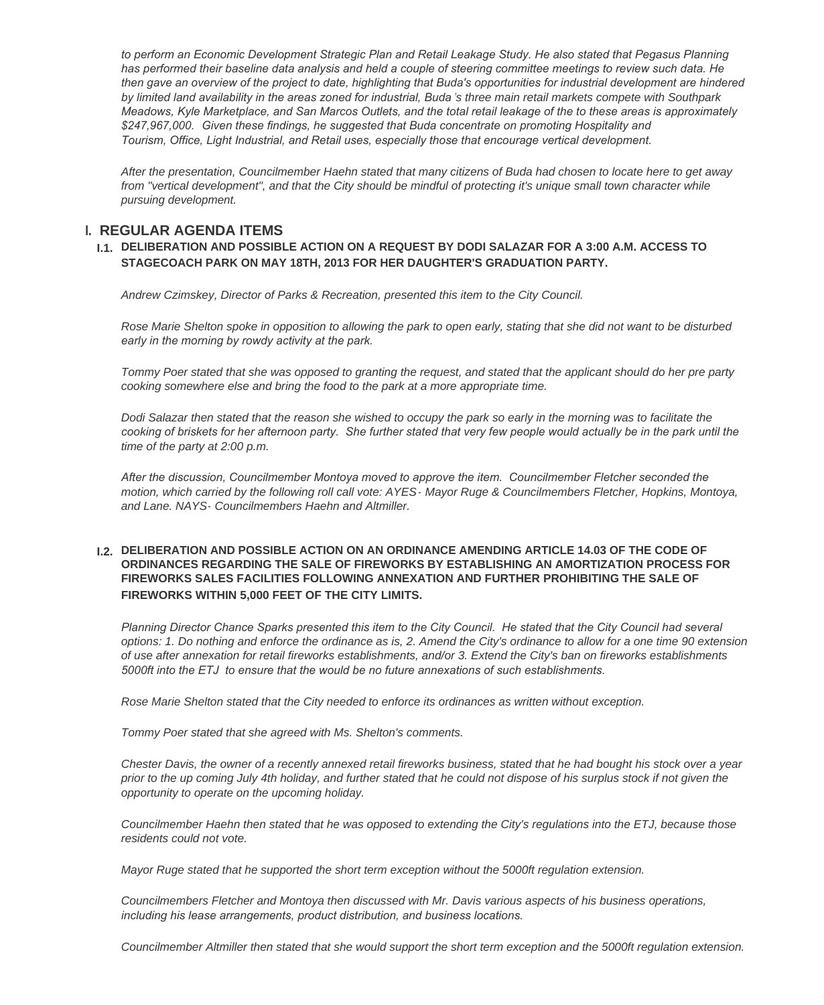to perform an Economic Development Strategic Plan and Retail Leakage Study. He also stated that Pegasus Planning *has performed their baseline data analysis and held a couple of steering committee meetings to review such data. He then gave an overview of the project to date, highlighting that Buda's opportunities for industrial development are hindered by limited land availability in the areas zoned for industrial, Buda 's three main retail markets compete with Southpark Meadows, Kyle Marketplace, and San Marcos Outlets, and the total retail leakage of the to these areas is approximately \$247,967,000. Given these findings, he suggested that Buda concentrate on promoting Hospitality and Tourism, Office, Light Industrial, and Retail uses, especially those that encourage vertical development.* 

*After the presentation, Councilmember Haehn stated that many citizens of Buda had chosen to locate here to get away*  from "vertical development", and that the City should be mindful of protecting it's unique small town character while *pursuing development.*

## **REGULAR AGENDA ITEMS I.**

#### **DELIBERATION AND POSSIBLE ACTION ON A REQUEST BY DODI SALAZAR FOR A 3:00 A.M. ACCESS TO I.1. STAGECOACH PARK ON MAY 18TH, 2013 FOR HER DAUGHTER'S GRADUATION PARTY.**

*Andrew Czimskey, Director of Parks & Recreation, presented this item to the City Council.*

*Rose Marie Shelton spoke in opposition to allowing the park to open early, stating that she did not want to be disturbed early in the morning by rowdy activity at the park.* 

*Tommy Poer stated that she was opposed to granting the request, and stated that the applicant should do her pre party cooking somewhere else and bring the food to the park at a more appropriate time.*

*Dodi Salazar then stated that the reason she wished to occupy the park so early in the morning was to facilitate the*  cooking of briskets for her afternoon party. She further stated that very few people would actually be in the park until the *time of the party at 2:00 p.m.*

*After the discussion, Councilmember Montoya moved to approve the item. Councilmember Fletcher seconded the motion, which carried by the following roll call vote: AYES- Mayor Ruge & Councilmembers Fletcher, Hopkins, Montoya, and Lane. NAYS- Councilmembers Haehn and Altmiller.*

#### **DELIBERATION AND POSSIBLE ACTION ON AN ORDINANCE AMENDING ARTICLE 14.03 OF THE CODE OF I.2. ORDINANCES REGARDING THE SALE OF FIREWORKS BY ESTABLISHING AN AMORTIZATION PROCESS FOR FIREWORKS SALES FACILITIES FOLLOWING ANNEXATION AND FURTHER PROHIBITING THE SALE OF FIREWORKS WITHIN 5,000 FEET OF THE CITY LIMITS.**

*Planning Director Chance Sparks presented this item to the City Council. He stated that the City Council had several options: 1. Do nothing and enforce the ordinance as is, 2. Amend the City's ordinance to allow for a one time 90 extension of use after annexation for retail fireworks establishments, and/or 3. Extend the City's ban on fireworks establishments 5000ft into the ETJ to ensure that the would be no future annexations of such establishments.*

*Rose Marie Shelton stated that the City needed to enforce its ordinances as written without exception.*

*Tommy Poer stated that she agreed with Ms. Shelton's comments.*

*Chester Davis, the owner of a recently annexed retail fireworks business, stated that he had bought his stock over a year prior to the up coming July 4th holiday, and further stated that he could not dispose of his surplus stock if not given the opportunity to operate on the upcoming holiday.*

*Councilmember Haehn then stated that he was opposed to extending the City's regulations into the ETJ, because those residents could not vote.*

*Mayor Ruge stated that he supported the short term exception without the 5000ft regulation extension.*

*Councilmembers Fletcher and Montoya then discussed with Mr. Davis various aspects of his business operations, including his lease arrangements, product distribution, and business locations.* 

*Councilmember Altmiller then stated that she would support the short term exception and the 5000ft regulation extension.*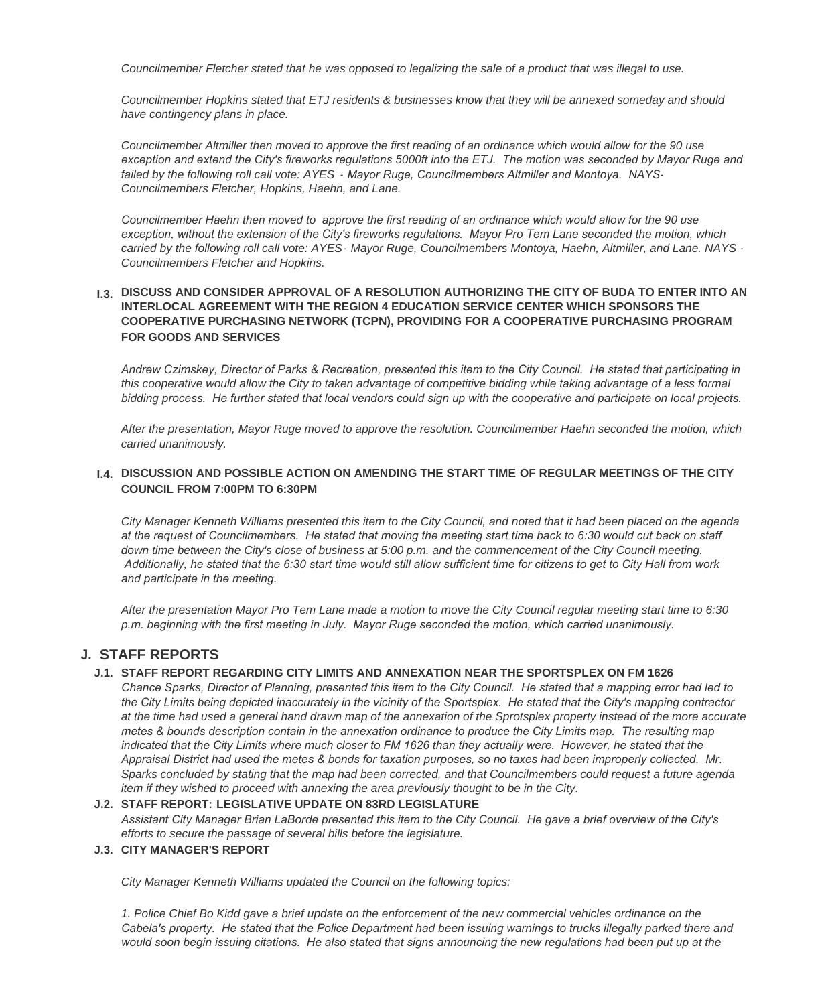*Councilmember Fletcher stated that he was opposed to legalizing the sale of a product that was illegal to use.*

*Councilmember Hopkins stated that ETJ residents & businesses know that they will be annexed someday and should have contingency plans in place.*

*Councilmember Altmiller then moved to approve the first reading of an ordinance which would allow for the 90 use exception and extend the City's fireworks regulations 5000ft into the ETJ. The motion was seconded by Mayor Ruge and failed by the following roll call vote: AYES - Mayor Ruge, Councilmembers Altmiller and Montoya. NAYS-Councilmembers Fletcher, Hopkins, Haehn, and Lane.*

*Councilmember Haehn then moved to approve the first reading of an ordinance which would allow for the 90 use exception, without the extension of the City's fireworks regulations. Mayor Pro Tem Lane seconded the motion, which carried by the following roll call vote: AYES- Mayor Ruge, Councilmembers Montoya, Haehn, Altmiller, and Lane. NAYS - Councilmembers Fletcher and Hopkins.*

#### **DISCUSS AND CONSIDER APPROVAL OF A RESOLUTION AUTHORIZING THE CITY OF BUDA TO ENTER INTO AN I.3. INTERLOCAL AGREEMENT WITH THE REGION 4 EDUCATION SERVICE CENTER WHICH SPONSORS THE COOPERATIVE PURCHASING NETWORK (TCPN), PROVIDING FOR A COOPERATIVE PURCHASING PROGRAM FOR GOODS AND SERVICES**

*Andrew Czimskey, Director of Parks & Recreation, presented this item to the City Council. He stated that participating in this cooperative would allow the City to taken advantage of competitive bidding while taking advantage of a less formal bidding process. He further stated that local vendors could sign up with the cooperative and participate on local projects.*

*After the presentation, Mayor Ruge moved to approve the resolution. Councilmember Haehn seconded the motion, which carried unanimously.*

#### **DISCUSSION AND POSSIBLE ACTION ON AMENDING THE START TIME OF REGULAR MEETINGS OF THE CITY I.4. COUNCIL FROM 7:00PM TO 6:30PM**

*City Manager Kenneth Williams presented this item to the City Council, and noted that it had been placed on the agenda at the request of Councilmembers. He stated that moving the meeting start time back to 6:30 would cut back on staff*  down time between the City's close of business at 5:00 p.m. and the commencement of the City Council meeting.  *Additionally, he stated that the 6:30 start time would still allow sufficient time for citizens to get to City Hall from work and participate in the meeting.* 

*After the presentation Mayor Pro Tem Lane made a motion to move the City Council regular meeting start time to 6:30 p.m. beginning with the first meeting in July. Mayor Ruge seconded the motion, which carried unanimously.*

### **STAFF REPORTS J.**

#### **STAFF REPORT REGARDING CITY LIMITS AND ANNEXATION NEAR THE SPORTSPLEX ON FM 1626 J.1.**

*Chance Sparks, Director of Planning, presented this item to the City Council. He stated that a mapping error had led to the City Limits being depicted inaccurately in the vicinity of the Sportsplex. He stated that the City's mapping contractor at the time had used a general hand drawn map of the annexation of the Sprotsplex property instead of the more accurate metes & bounds description contain in the annexation ordinance to produce the City Limits map. The resulting map*  indicated that the City Limits where much closer to FM 1626 than they actually were. However, he stated that the *Appraisal District had used the metes & bonds for taxation purposes, so no taxes had been improperly collected. Mr. Sparks concluded by stating that the map had been corrected, and that Councilmembers could request a future agenda item if they wished to proceed with annexing the area previously thought to be in the City.*

#### **STAFF REPORT: LEGISLATIVE UPDATE ON 83RD LEGISLATURE J.2.**

*Assistant City Manager Brian LaBorde presented this item to the City Council. He gave a brief overview of the City's efforts to secure the passage of several bills before the legislature.*

#### **CITY MANAGER'S REPORT J.3.**

*City Manager Kenneth Williams updated the Council on the following topics:*

*1. Police Chief Bo Kidd gave a brief update on the enforcement of the new commercial vehicles ordinance on the Cabela's property. He stated that the Police Department had been issuing warnings to trucks illegally parked there and would soon begin issuing citations. He also stated that signs announcing the new regulations had been put up at the*